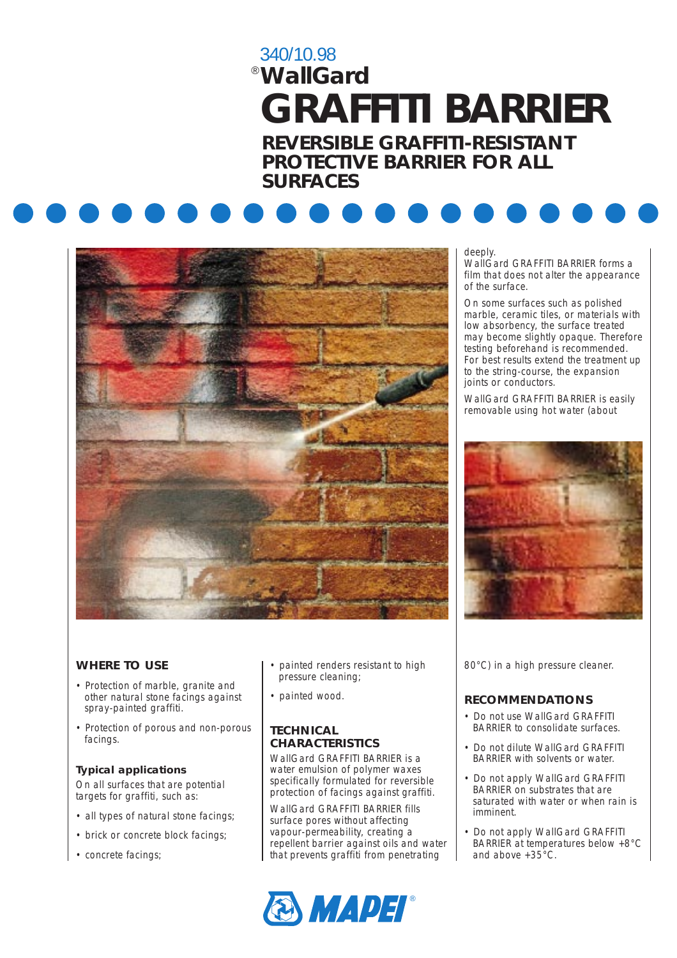# 340/10.98 *WallGard* ® **GRAFFITI BARRIER**

**REVERSIBLE GRAFFITI-RESISTANT PROTECTIVE BARRIER FOR ALL SURFACES**





#### deeply.

WallGard GRAFFITI BARRIER forms a film that does not alter the appearance of the surface.

On some surfaces such as polished marble, ceramic tiles, or materials with low absorbency, the surface treated may become slightly opaque. Therefore testing beforehand is recommended. For best results extend the treatment up to the string-course, the expansion joints or conductors.

WallGard GRAFFITI BARRIER is easily removable using hot water (about



# **WHERE TO USE**

- Protection of marble, granite and other natural stone facings against spray-painted graffiti.
- Protection of porous and non-porous facings.

#### **Typical applications**

On all surfaces that are potential targets for graffiti, such as:

- all types of natural stone facings;
- brick or concrete block facings;
- concrete facings;
- painted renders resistant to high pressure cleaning;
- painted wood.

## **TECHNICAL CHARACTERISTICS**

WallGard GRAFFITI BARRIER is a water emulsion of polymer waxes specifically formulated for reversible protection of facings against graffiti.

WallGard GRAFFITI BARRIER fills surface pores without affecting vapour-permeability, creating a repellent barrier against oils and water that prevents graffiti from penetrating



80°C) in a high pressure cleaner.

# **RECOMMENDATIONS**

- Do not use WallGard GRAFFITI BARRIER to consolidate surfaces.
- Do not dilute WallGard GRAFFITI BARRIER with solvents or water.
- Do not apply WallGard GRAFFITI BARRIER on substrates that are saturated with water or when rain is imminent.
- Do not apply WallGard GRAFFITI BARRIER at temperatures below +8°C and above  $+35^{\circ}$ C.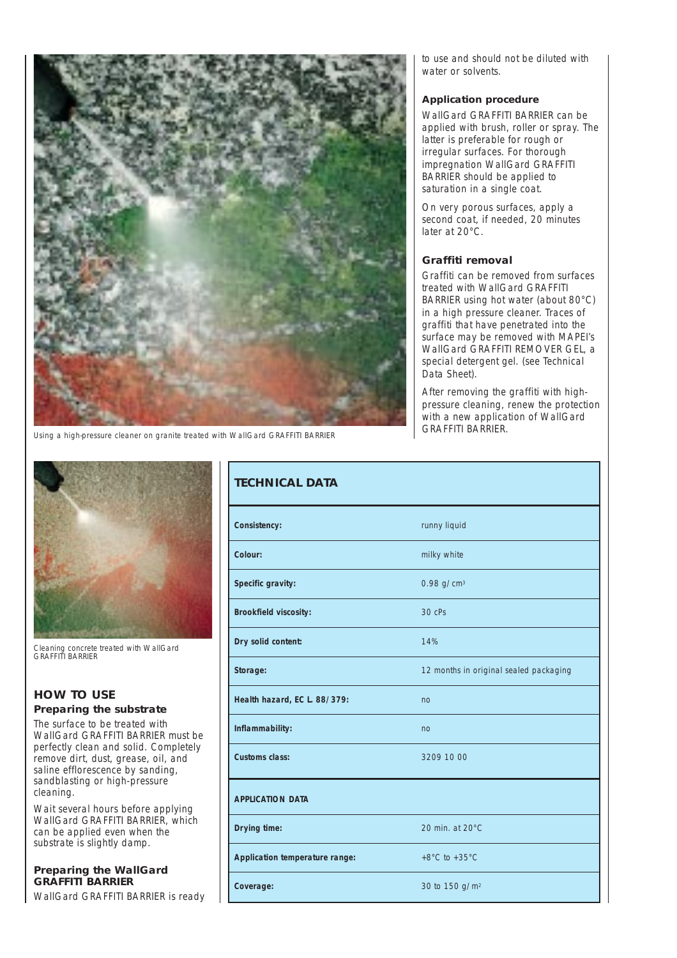

*Using a high-pressure cleaner on granite treated with WallGard GRAFFITI BARRIER*

*Cleaning concrete treated with WallGard GRAFFITI BARRIER*

## **HOW TO USE Preparing the substrate**

The surface to be treated with WallGard GRAFFITI BARRIER must be perfectly clean and solid. Completely remove dirt, dust, grease, oil, and saline efflorescence by sanding, sandblasting or high-pressure cleaning.

Wait several hours before applying WallGard GRAFFITI BARRIER, which can be applied even when the substrate is slightly damp.

## **Preparing the WallGard GRAFFITI BARRIER**

WallGard GRAFFITI BARRIER is ready

to use and should not be diluted with water or solvents.

#### **Application procedure**

WallGard GRAFFITI BARRIER can be applied with brush, roller or spray. The latter is preferable for rough or irregular surfaces. For thorough impregnation WallGard GRAFFITI BARRIER should be applied to saturation in a single coat.

On very porous surfaces, apply a second coat, if needed, 20 minutes later at 20°C.

#### **Graffiti removal**

Graffiti can be removed from surfaces treated with WallGard GRAFFITI BARRIER using hot water (about 80°C) in a high pressure cleaner. Traces of graffiti that have penetrated into the surface may be removed with MAPEI's WallGard GRAFFITI REMOVER GEL, a special detergent gel. (see Technical Data Sheet).

After removing the graffiti with highpressure cleaning, renew the protection with a new application of WallGard GRAFFITI BARRIER.

| <b>TECHNICAL DATA</b>          |                                        |
|--------------------------------|----------------------------------------|
| Consistency:                   | runny liquid                           |
| Colour:                        | milky white                            |
| Specific gravity:              | 0.98 $g/cm^{3}$                        |
| <b>Brookfield viscosity:</b>   | $30$ $c$ Ps                            |
| Dry solid content:             | 14%                                    |
| Storage:                       | 12 months in original sealed packaging |
| Health hazard, EC L. 88/379:   | no                                     |
| Inflammability:                | no                                     |
| <b>Customs class:</b>          | 3209 10 00                             |
| <b>APPLICATION DATA</b>        |                                        |
| Drying time:                   | 20 min. at 20°C                        |
| Application temperature range: | +8 $^{\circ}$ C to +35 $^{\circ}$ C    |
| Coverage:                      | 30 to 150 g/m <sup>2</sup>             |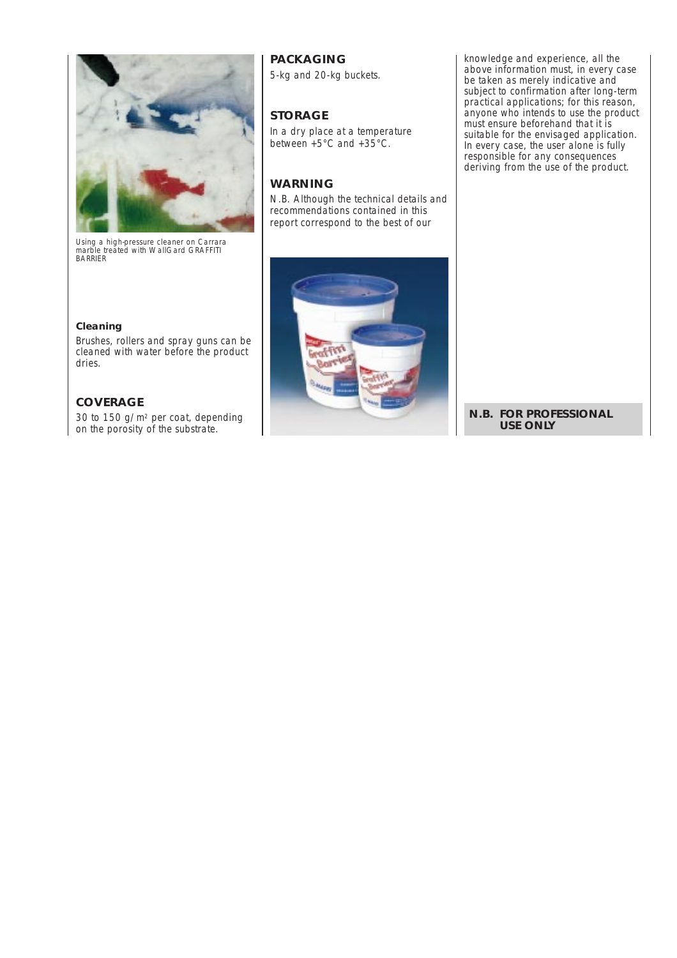

*Using a high-pressure cleaner on Carrara marble treated with WallGard GRAFFITI BARRIER*

#### **Cleaning**

Brushes, rollers and spray guns can be cleaned with water before the product dries.

#### **COVERAGE**

30 to 150 g/m2 per coat, depending on the porosity of the substrate.

# **PACKAGING**

5-kg and 20-kg buckets.

# **STORAGE**

In a dry place at a temperature between +5°C and +35°C.

# **WARNING**

*N.B. Although the technical details and recommendations contained in this report correspond to the best of our*



*knowledge and experience, all the above information must, in every case be taken as merely indicative and subject to confirmation after long-term practical applications; for this reason, anyone who intends to use the product must ensure beforehand that it is suitable for the envisaged application. In every case, the user alone is fully responsible for any consequences deriving from the use of the product.*

**N.B. FOR PROFESSIONAL USE ONLY**